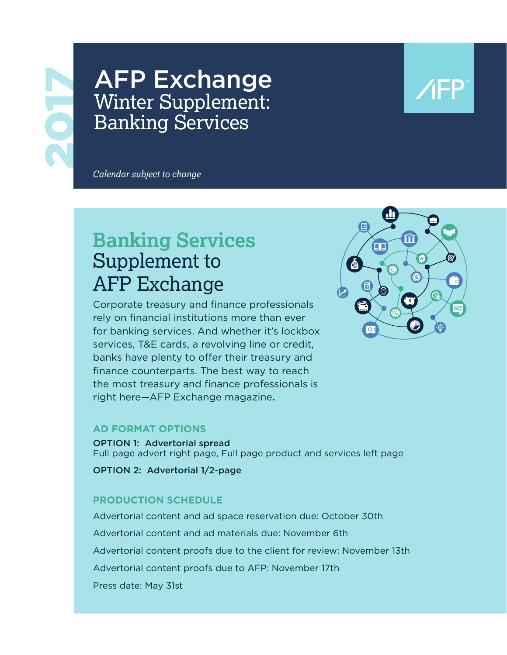# **AFP Exchange** Winter Supplement: Banking Services

*Calendar subject to change*

# **Banking Services**  Supplement to AFP Exchange

Corporate treasury and finance professionals rely on financial institutions more than ever for banking services. And whether it's lockbox services, T&E cards, a revolving line or credit, banks have plenty to offer their treasury and finance counterparts. The best way to reach the most treasury and finance professionals is right here—AFP Exchange magazine.



### **AD FORMAT OPTIONS**

OPTION 1: Advertorial spread Full page advert right page, Full page product and services left page

OPTION 2: Advertorial 1/2-page

## **PRODUCTION SCHEDULE**

Advertorial content and ad space reservation due: October 30th Advertorial content and ad materials due: November 6th Advertorial content proofs due to the client for review: November 13th Advertorial content proofs due to AFP: November 17th Press date: May 31st